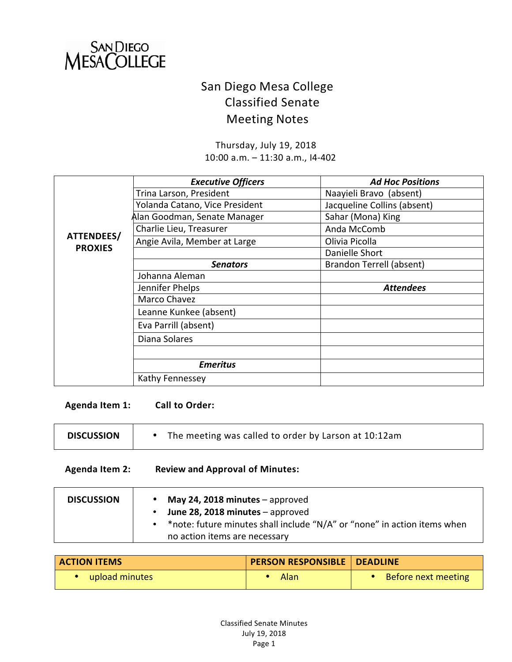

# San Diego Mesa College Classified Senate **Meeting Notes**

Thursday, July 19, 2018 10:00 a.m. - 11:30 a.m., I4-402

|                | <b>Executive Officers</b>      | <b>Ad Hoc Positions</b>     |
|----------------|--------------------------------|-----------------------------|
|                | Trina Larson, President        | Naayieli Bravo (absent)     |
|                | Yolanda Catano, Vice President | Jacqueline Collins (absent) |
|                | Alan Goodman, Senate Manager   | Sahar (Mona) King           |
|                | Charlie Lieu, Treasurer        | Anda McComb                 |
| ATTENDEES/     | Angie Avila, Member at Large   | Olivia Picolla              |
| <b>PROXIES</b> |                                | Danielle Short              |
|                | <b>Senators</b>                | Brandon Terrell (absent)    |
|                | Johanna Aleman                 |                             |
|                | Jennifer Phelps                | <b>Attendees</b>            |
|                | Marco Chavez                   |                             |
|                | Leanne Kunkee (absent)         |                             |
|                | Eva Parrill (absent)           |                             |
|                | Diana Solares                  |                             |
|                |                                |                             |
|                | <b>Emeritus</b>                |                             |
|                | Kathy Fennessey                |                             |

Agenda Item 1: Call to Order:

| <b>DISCUSSION</b> | The meeting was called to order by Larson at 10:12am |
|-------------------|------------------------------------------------------|
|                   |                                                      |

#### Agenda Item 2: Review and Approval of Minutes:

| June 28, 2018 minutes - approved<br>• * note: future minutes shall include "N/A" or "none" in action items when<br>no action items are necessary |
|--------------------------------------------------------------------------------------------------------------------------------------------------|
|--------------------------------------------------------------------------------------------------------------------------------------------------|

| <b>ACTION ITEMS</b> | PERSON RESPONSIBLE   DEADLINE |                     |
|---------------------|-------------------------------|---------------------|
| upload minutes      | Alan                          | Before next meeting |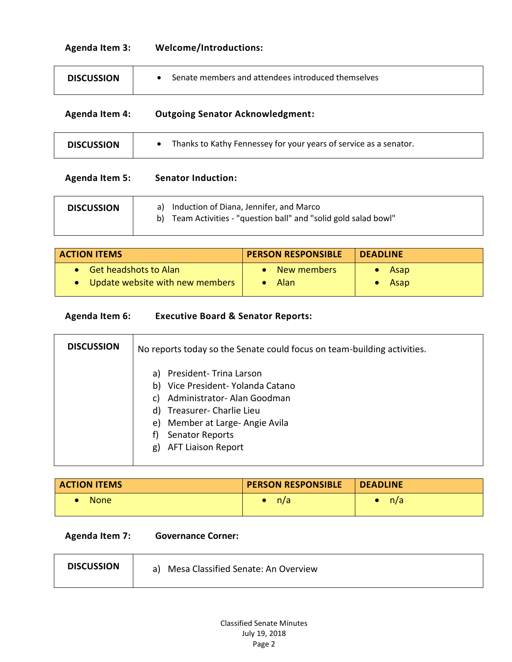## **Agenda Item 3: Welcome/Introductions:**

| <b>DISCUSSION</b>     | Senate members and attendees introduced themselves<br>$\bullet$                                                      |
|-----------------------|----------------------------------------------------------------------------------------------------------------------|
| <b>Agenda Item 4:</b> | <b>Outgoing Senator Acknowledgment:</b>                                                                              |
| <b>DISCUSSION</b>     | Thanks to Kathy Fennessey for your years of service as a senator.<br>$\bullet$                                       |
| <b>Agenda Item 5:</b> | <b>Senator Induction:</b>                                                                                            |
| <b>DISCUSSION</b>     | Induction of Diana, Jennifer, and Marco<br>a)<br>b)<br>Team Activities - "question ball" and "solid gold salad bowl" |

| <b>ACTION ITEMS</b>               | <b>PERSON RESPONSIBLE</b> | <b>DEADLINE</b> |
|-----------------------------------|---------------------------|-----------------|
| • Get headshots to Alan           | New members               | Asap            |
| • Update website with new members | Alan                      | Asap            |

## **Agenda Item 6: Executive Board & Senator Reports:**

| <b>DISCUSSION</b> | No reports today so the Senate could focus on team-building activities.                                                                                                                                                              |
|-------------------|--------------------------------------------------------------------------------------------------------------------------------------------------------------------------------------------------------------------------------------|
|                   | President- Trina Larson<br>a)<br>b) Vice President- Yolanda Catano<br>Administrator- Alan Goodman<br>C)<br>d) Treasurer- Charlie Lieu<br>e) Member at Large-Angie Avila<br><b>Senator Reports</b><br><b>AFT Liaison Report</b><br>g) |

| <b>ACTION ITEMS</b> | <b>PERSON RESPONSIBLE</b> | <b>DEADLINE</b> |
|---------------------|---------------------------|-----------------|
| <b>None</b>         | n/a                       | n/a             |

**Agenda Item 7: Governance Corner:** 

| <b>DISCUSSION</b><br>a) Mesa Classified Senate: An Overview |  |
|-------------------------------------------------------------|--|
|-------------------------------------------------------------|--|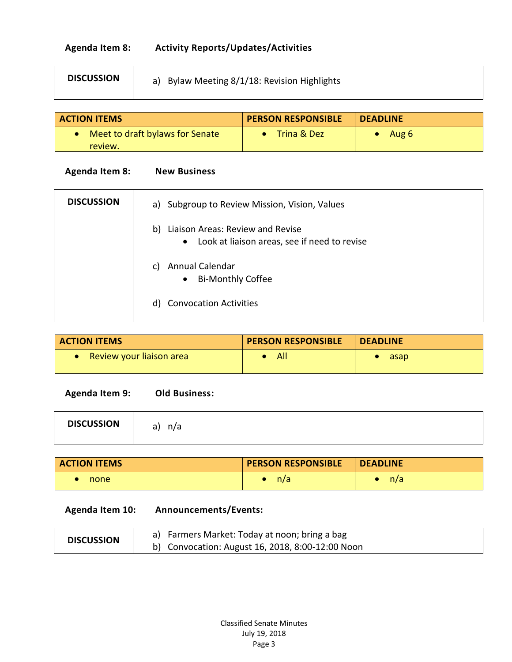# **Agenda Item 8: Activity Reports/Updates/Activities**

| <b>DISCUSSION</b> | a) Bylaw Meeting 8/1/18: Revision Highlights |
|-------------------|----------------------------------------------|
|-------------------|----------------------------------------------|

| <b>ACTION ITEMS</b>               | <b>PERSON RESPONSIBLE</b> | <b>DEADLINE</b> |  |
|-----------------------------------|---------------------------|-----------------|--|
| • Meet to draft bylaws for Senate | Trina & Dez               | Aug 6           |  |
| review.                           |                           |                 |  |

## **Agenda Item 8: New Business**

| <b>DISCUSSION</b> | a) Subgroup to Review Mission, Vision, Values                                                       |
|-------------------|-----------------------------------------------------------------------------------------------------|
|                   | Liaison Areas: Review and Revise<br>b)<br>Look at liaison areas, see if need to revise<br>$\bullet$ |
|                   | Annual Calendar<br>C)<br><b>Bi-Monthly Coffee</b><br>$\bullet$                                      |
|                   | d) Convocation Activities                                                                           |

| <b>ACTION ITEMS</b>             | <b>PERSON RESPONSIBLE</b> | <b>DEADLINE</b> |
|---------------------------------|---------------------------|-----------------|
| <b>Review your liaison area</b> | All                       | asap            |

**Agenda Item 9: Old Business:** 

| <b>DISCUSSION</b> | n/a<br>$\sim$<br>d J |  |  |  |
|-------------------|----------------------|--|--|--|
|-------------------|----------------------|--|--|--|

| <b>ACTION ITEMS</b> | <b>PERSON RESPONSIBLE</b> | <b>DEADLINE</b> |
|---------------------|---------------------------|-----------------|
| none                | n/a                       | n/a             |

#### **Agenda Item 10: Announcements/Events:**

| <b>DISCUSSION</b> | a) Farmers Market: Today at noon; bring a bag    |
|-------------------|--------------------------------------------------|
|                   | b) Convocation: August 16, 2018, 8:00-12:00 Noon |